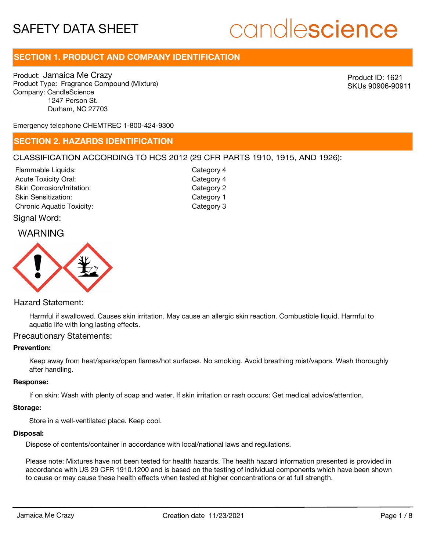# candlescience

# **SECTION 1. PRODUCT AND COMPANY IDENTIFICATION**

Product: Jamaica Me Crazy Product Type: Fragrance Compound (Mixture) Company: CandleScience 1247 Person St. Durham, NC 27703

Product ID: 1621 SKUs 90906-90911

Emergency telephone CHEMTREC 1-800-424-9300

# **SECTION 2. HAZARDS IDENTIFICATION**

# CLASSIFICATION ACCORDING TO HCS 2012 (29 CFR PARTS 1910, 1915, AND 1926):

| Flammable Liquids:               | Category 4 |
|----------------------------------|------------|
| <b>Acute Toxicity Oral:</b>      | Category 4 |
| Skin Corrosion/Irritation:       | Category 2 |
| <b>Skin Sensitization:</b>       | Category 1 |
| <b>Chronic Aquatic Toxicity:</b> | Category 3 |
|                                  |            |

# Signal Word:

# WARNING



# Hazard Statement:

Harmful if swallowed. Causes skin irritation. May cause an allergic skin reaction. Combustible liquid. Harmful to aquatic life with long lasting effects.

# Precautionary Statements:

### **Prevention:**

Keep away from heat/sparks/open flames/hot surfaces. No smoking. Avoid breathing mist/vapors. Wash thoroughly after handling.

### **Response:**

If on skin: Wash with plenty of soap and water. If skin irritation or rash occurs: Get medical advice/attention.

#### **Storage:**

Store in a well-ventilated place. Keep cool.

#### **Disposal:**

Dispose of contents/container in accordance with local/national laws and regulations.

Please note: Mixtures have not been tested for health hazards. The health hazard information presented is provided in accordance with US 29 CFR 1910.1200 and is based on the testing of individual components which have been shown to cause or may cause these health effects when tested at higher concentrations or at full strength.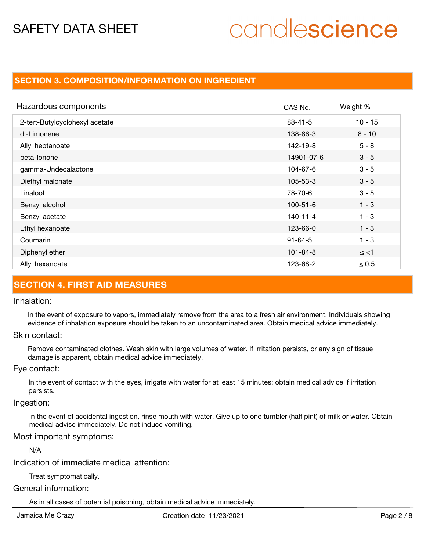# candlescience

# **SECTION 3. COMPOSITION/INFORMATION ON INGREDIENT**

| Hazardous components           | CAS No.        | Weight %   |
|--------------------------------|----------------|------------|
| 2-tert-Butylcyclohexyl acetate | $88 - 41 - 5$  | $10 - 15$  |
| dl-Limonene                    | 138-86-3       | $8 - 10$   |
| Allyl heptanoate               | 142-19-8       | $5 - 8$    |
| beta-lonone                    | 14901-07-6     | $3 - 5$    |
| gamma-Undecalactone            | 104-67-6       | $3 - 5$    |
| Diethyl malonate               | $105 - 53 - 3$ | $3 - 5$    |
| Linalool                       | 78-70-6        | $3 - 5$    |
| Benzyl alcohol                 | $100 - 51 - 6$ | $1 - 3$    |
| Benzyl acetate                 | 140-11-4       | $1 - 3$    |
| Ethyl hexanoate                | 123-66-0       | $1 - 3$    |
| Coumarin                       | $91 - 64 - 5$  | $1 - 3$    |
| Diphenyl ether                 | $101 - 84 - 8$ | $\le$ <1   |
| Allyl hexanoate                | 123-68-2       | $\leq 0.5$ |

# **SECTION 4. FIRST AID MEASURES**

### Inhalation:

In the event of exposure to vapors, immediately remove from the area to a fresh air environment. Individuals showing evidence of inhalation exposure should be taken to an uncontaminated area. Obtain medical advice immediately.

# Skin contact:

Remove contaminated clothes. Wash skin with large volumes of water. If irritation persists, or any sign of tissue damage is apparent, obtain medical advice immediately.

### Eye contact:

In the event of contact with the eyes, irrigate with water for at least 15 minutes; obtain medical advice if irritation persists.

# Ingestion:

In the event of accidental ingestion, rinse mouth with water. Give up to one tumbler (half pint) of milk or water. Obtain medical advise immediately. Do not induce vomiting.

# Most important symptoms:

N/A

Indication of immediate medical attention:

Treat symptomatically.

# General information:

As in all cases of potential poisoning, obtain medical advice immediately.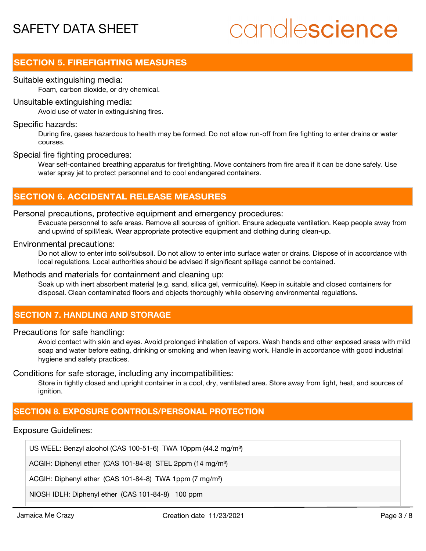# candlescience

# **SECTION 5. FIREFIGHTING MEASURES**

## Suitable extinguishing media:

Foam, carbon dioxide, or dry chemical.

### Unsuitable extinguishing media:

Avoid use of water in extinguishing fires.

### Specific hazards:

During fire, gases hazardous to health may be formed. Do not allow run-off from fire fighting to enter drains or water courses.

### Special fire fighting procedures:

Wear self-contained breathing apparatus for firefighting. Move containers from fire area if it can be done safely. Use water spray jet to protect personnel and to cool endangered containers.

# **SECTION 6. ACCIDENTAL RELEASE MEASURES**

# Personal precautions, protective equipment and emergency procedures:

Evacuate personnel to safe areas. Remove all sources of ignition. Ensure adequate ventilation. Keep people away from and upwind of spill/leak. Wear appropriate protective equipment and clothing during clean-up.

### Environmental precautions:

Do not allow to enter into soil/subsoil. Do not allow to enter into surface water or drains. Dispose of in accordance with local regulations. Local authorities should be advised if significant spillage cannot be contained.

# Methods and materials for containment and cleaning up:

Soak up with inert absorbent material (e.g. sand, silica gel, vermiculite). Keep in suitable and closed containers for disposal. Clean contaminated floors and objects thoroughly while observing environmental regulations.

# **SECTION 7. HANDLING AND STORAGE**

# Precautions for safe handling:

Avoid contact with skin and eyes. Avoid prolonged inhalation of vapors. Wash hands and other exposed areas with mild soap and water before eating, drinking or smoking and when leaving work. Handle in accordance with good industrial hygiene and safety practices.

## Conditions for safe storage, including any incompatibilities:

Store in tightly closed and upright container in a cool, dry, ventilated area. Store away from light, heat, and sources of ignition.

# **SECTION 8. EXPOSURE CONTROLS/PERSONAL PROTECTION**

# Exposure Guidelines:

US WEEL: Benzyl alcohol (CAS 100-51-6) TWA 10ppm (44.2 mg/m<sup>3</sup>)

ACGIH: Diphenyl ether (CAS 101-84-8) STEL 2ppm (14 mg/m<sup>3</sup>)

ACGIH: Diphenyl ether (CAS 101-84-8) TWA 1ppm (7 mg/m<sup>3</sup>)

NIOSH IDLH: Diphenyl ether (CAS 101-84-8) 100 ppm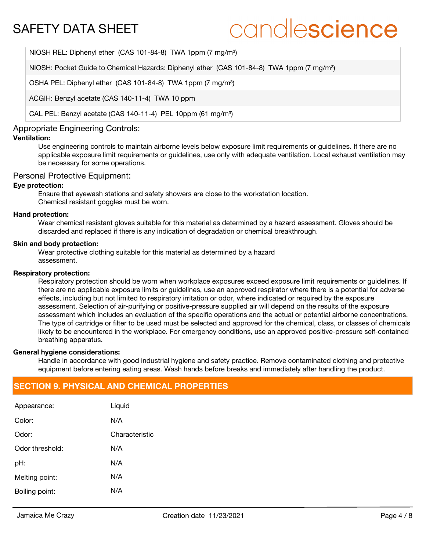# candlescience

NIOSH REL: Diphenyl ether (CAS 101-84-8) TWA 1ppm (7 mg/m<sup>3</sup>)

NIOSH: Pocket Guide to Chemical Hazards: Diphenyl ether (CAS 101-84-8) TWA 1ppm (7 mg/m<sup>3</sup>)

OSHA PEL: Diphenyl ether (CAS 101-84-8) TWA 1ppm (7 mg/m<sup>3</sup>)

ACGIH: Benzyl acetate (CAS 140-11-4) TWA 10 ppm

CAL PEL: Benzyl acetate (CAS 140-11-4) PEL 10ppm (61 mg/m<sup>3</sup>)

### Appropriate Engineering Controls:

# **Ventilation:**

Use engineering controls to maintain airborne levels below exposure limit requirements or guidelines. If there are no applicable exposure limit requirements or guidelines, use only with adequate ventilation. Local exhaust ventilation may be necessary for some operations.

### Personal Protective Equipment:

### **Eye protection:**

Ensure that eyewash stations and safety showers are close to the workstation location. Chemical resistant goggles must be worn.

#### **Hand protection:**

Wear chemical resistant gloves suitable for this material as determined by a hazard assessment. Gloves should be discarded and replaced if there is any indication of degradation or chemical breakthrough.

#### **Skin and body protection:**

Wear protective clothing suitable for this material as determined by a hazard assessment.

#### **Respiratory protection:**

Respiratory protection should be worn when workplace exposures exceed exposure limit requirements or guidelines. If there are no applicable exposure limits or guidelines, use an approved respirator where there is a potential for adverse effects, including but not limited to respiratory irritation or odor, where indicated or required by the exposure assessment. Selection of air-purifying or positive-pressure supplied air will depend on the results of the exposure assessment which includes an evaluation of the specific operations and the actual or potential airborne concentrations. The type of cartridge or filter to be used must be selected and approved for the chemical, class, or classes of chemicals likely to be encountered in the workplace. For emergency conditions, use an approved positive-pressure self-contained breathing apparatus.

#### **General hygiene considerations:**

Handle in accordance with good industrial hygiene and safety practice. Remove contaminated clothing and protective equipment before entering eating areas. Wash hands before breaks and immediately after handling the product.

# **SECTION 9. PHYSICAL AND CHEMICAL PROPERTIES**

| Appearance:     | Liquid         |
|-----------------|----------------|
| Color:          | N/A            |
| Odor:           | Characteristic |
| Odor threshold: | N/A            |
| pH:             | N/A            |
| Melting point:  | N/A            |
| Boiling point:  | N/A            |
|                 |                |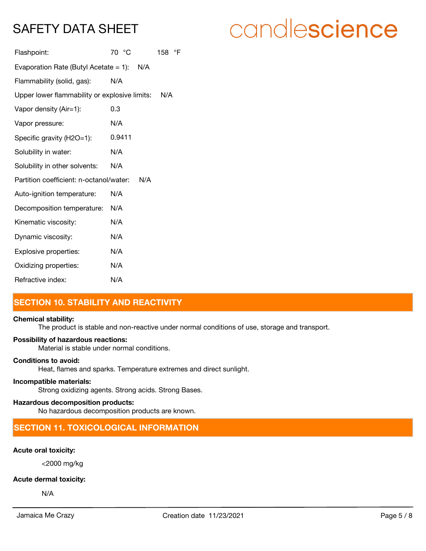# candlescience

| Flashpoint:                                   | 70 °C  | 158 °F |
|-----------------------------------------------|--------|--------|
| Evaporation Rate (Butyl Acetate = 1): $N/A$   |        |        |
| Flammability (solid, gas):                    | N/A    |        |
| Upper lower flammability or explosive limits: | N/A    |        |
| Vapor density (Air=1):                        | 0.3    |        |
| Vapor pressure:                               | N/A    |        |
| Specific gravity (H2O=1):                     | 0.9411 |        |
| Solubility in water:                          | N/A    |        |
| Solubility in other solvents:                 | N/A    |        |
| Partition coefficient: n-octanol/water:       |        |        |
| Auto-ignition temperature:                    | N/A    |        |
| Decomposition temperature:                    | N/A    |        |
| Kinematic viscosity:                          | N/A    |        |
| Dynamic viscosity:                            | N/A    |        |
| Explosive properties:                         | N/A    |        |
| Oxidizing properties:                         | N/A    |        |
| Refractive index:                             | N/A    |        |

# **SECTION 10. STABILITY AND REACTIVITY**

### **Chemical stability:**

The product is stable and non-reactive under normal conditions of use, storage and transport.

### **Possibility of hazardous reactions:**

Material is stable under normal conditions.

# **Conditions to avoid:**

Heat, flames and sparks. Temperature extremes and direct sunlight.

### **Incompatible materials:**

Strong oxidizing agents. Strong acids. Strong Bases.

### **Hazardous decomposition products:**

No hazardous decomposition products are known.

# **SECTION 11. TOXICOLOGICAL INFORMATION**

## **Acute oral toxicity:**

<2000 mg/kg

### **Acute dermal toxicity:**

N/A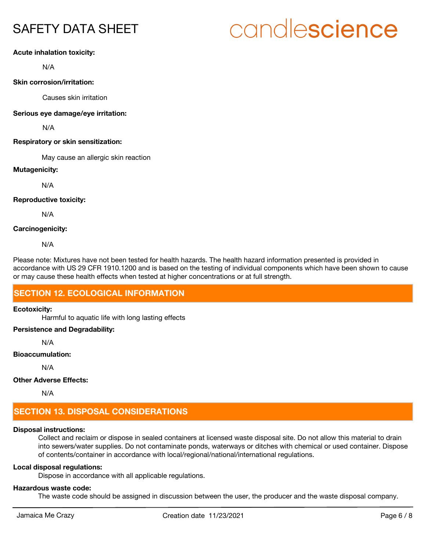# candlescience

# **Acute inhalation toxicity:**

N/A

# **Skin corrosion/irritation:**

Causes skin irritation

### **Serious eye damage/eye irritation:**

N/A

## **Respiratory or skin sensitization:**

May cause an allergic skin reaction

## **Mutagenicity:**

N/A

## **Reproductive toxicity:**

N/A

## **Carcinogenicity:**

N/A

Please note: Mixtures have not been tested for health hazards. The health hazard information presented is provided in accordance with US 29 CFR 1910.1200 and is based on the testing of individual components which have been shown to cause or may cause these health effects when tested at higher concentrations or at full strength.

# **SECTION 12. ECOLOGICAL INFORMATION**

### **Ecotoxicity:**

Harmful to aquatic life with long lasting effects

# **Persistence and Degradability:**

N/A

### **Bioaccumulation:**

N/A

# **Other Adverse Effects:**

N/A

# **SECTION 13. DISPOSAL CONSIDERATIONS**

# **Disposal instructions:**

Collect and reclaim or dispose in sealed containers at licensed waste disposal site. Do not allow this material to drain into sewers/water supplies. Do not contaminate ponds, waterways or ditches with chemical or used container. Dispose of contents/container in accordance with local/regional/national/international regulations.

# **Local disposal regulations:**

Dispose in accordance with all applicable regulations.

# **Hazardous waste code:**

The waste code should be assigned in discussion between the user, the producer and the waste disposal company.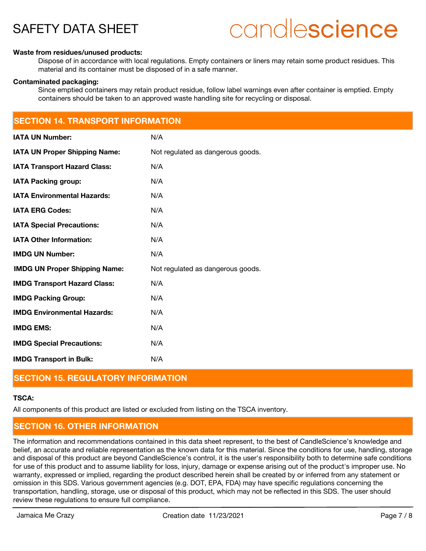# candlescience

#### **Waste from residues/unused products:**

Dispose of in accordance with local regulations. Empty containers or liners may retain some product residues. This material and its container must be disposed of in a safe manner.

#### **Contaminated packaging:**

Since emptied containers may retain product residue, follow label warnings even after container is emptied. Empty containers should be taken to an approved waste handling site for recycling or disposal.

# **IMDG Transport in Bulk:** N/A **SECTION 14. TRANSPORT INFORMATION IATA UN Number:** N/A **IATA UN Proper Shipping Name:** Not regulated as dangerous goods. **IATA Transport Hazard Class:** N/A **IATA Packing group:** N/A **IATA Environmental Hazards:** N/A **IATA ERG Codes:** N/A **IATA Special Precautions:** N/A **IATA Other Information:** N/A **IMDG UN Number:** N/A **IMDG UN Proper Shipping Name:** Not regulated as dangerous goods. **IMDG Transport Hazard Class:** N/A **IMDG Packing Group:** N/A **IMDG Environmental Hazards:** N/A **IMDG EMS:** N/A **IMDG Special Precautions:** N/A

# **SECTION 15. REGULATORY INFORMATION**

### **TSCA:**

All components of this product are listed or excluded from listing on the TSCA inventory.

# **SECTION 16. OTHER INFORMATION**

The information and recommendations contained in this data sheet represent, to the best of CandleScience's knowledge and belief, an accurate and reliable representation as the known data for this material. Since the conditions for use, handling, storage and disposal of this product are beyond CandleScience's control, it is the user's responsibility both to determine safe conditions for use of this product and to assume liability for loss, injury, damage or expense arising out of the product's improper use. No warranty, expressed or implied, regarding the product described herein shall be created by or inferred from any statement or omission in this SDS. Various government agencies (e.g. DOT, EPA, FDA) may have specific regulations concerning the transportation, handling, storage, use or disposal of this product, which may not be reflected in this SDS. The user should review these regulations to ensure full compliance.